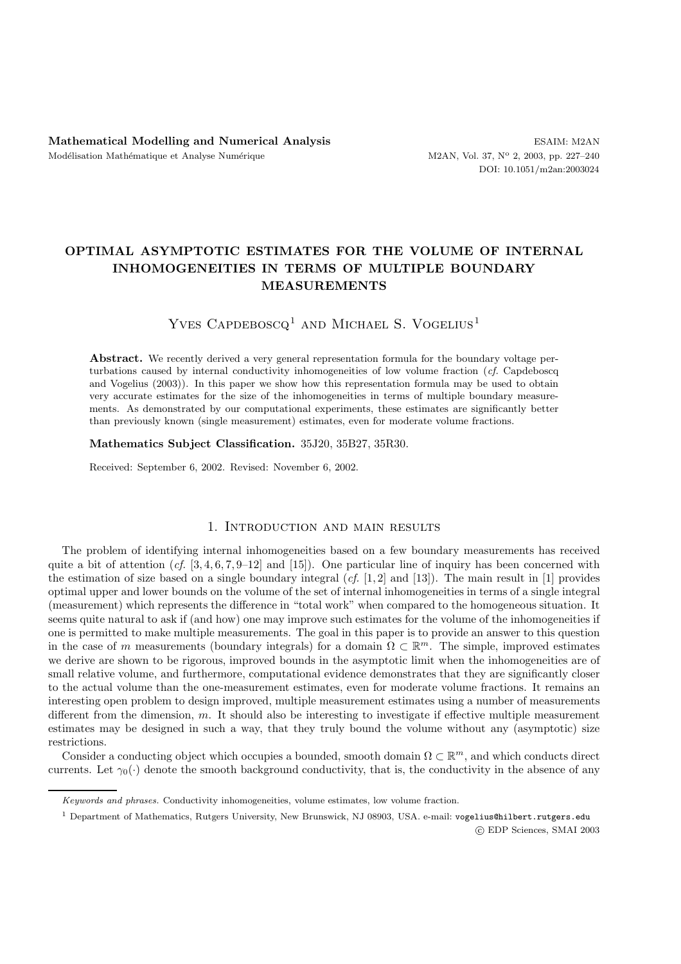## **OPTIMAL ASYMPTOTIC ESTIMATES FOR THE VOLUME OF INTERNAL INHOMOGENEITIES IN TERMS OF MULTIPLE BOUNDARY MEASUREMENTS**

# YVES CAPDEBOSCQ<sup>1</sup> AND MICHAEL S. VOGELIUS<sup>1</sup>

Abstract. We recently derived a very general representation formula for the boundary voltage perturbations caused by internal conductivity inhomogeneities of low volume fraction (*cf.* Capdeboscq and Vogelius (2003)). In this paper we show how this representation formula may be used to obtain very accurate estimates for the size of the inhomogeneities in terms of multiple boundary measurements. As demonstrated by our computational experiments, these estimates are significantly better than previously known (single measurement) estimates, even for moderate volume fractions.

#### **Mathematics Subject Classification.** 35J20, 35B27, 35R30.

Received: September 6, 2002. Revised: November 6, 2002.

### 1. Introduction and main results

The problem of identifying internal inhomogeneities based on a few boundary measurements has received quite a bit of attention  $(cf. [3, 4, 6, 7, 9–12]$  and  $[15]$ ). One particular line of inquiry has been concerned with the estimation of size based on a single boundary integral (*cf.* [1, 2] and [13]). The main result in [1] provides optimal upper and lower bounds on the volume of the set of internal inhomogeneities in terms of a single integral (measurement) which represents the difference in "total work" when compared to the homogeneous situation. It seems quite natural to ask if (and how) one may improve such estimates for the volume of the inhomogeneities if one is permitted to make multiple measurements. The goal in this paper is to provide an answer to this question in the case of m measurements (boundary integrals) for a domain  $\Omega \subset \mathbb{R}^m$ . The simple, improved estimates we derive are shown to be rigorous, improved bounds in the asymptotic limit when the inhomogeneities are of small relative volume, and furthermore, computational evidence demonstrates that they are significantly closer to the actual volume than the one-measurement estimates, even for moderate volume fractions. It remains an interesting open problem to design improved, multiple measurement estimates using a number of measurements different from the dimension, m. It should also be interesting to investigate if effective multiple measurement estimates may be designed in such a way, that they truly bound the volume without any (asymptotic) size restrictions.

Consider a conducting object which occupies a bounded, smooth domain  $\Omega \subset \mathbb{R}^m$ , and which conducts direct currents. Let  $\gamma_0(\cdot)$  denote the smooth background conductivity, that is, the conductivity in the absence of any

Keywords and phrases. Conductivity inhomogeneities, volume estimates, low volume fraction.

<sup>&</sup>lt;sup>1</sup> Department of Mathematics, Rutgers University, New Brunswick, NJ 08903, USA. e-mail: vogelius@hilbert.rutgers.edu c EDP Sciences, SMAI 2003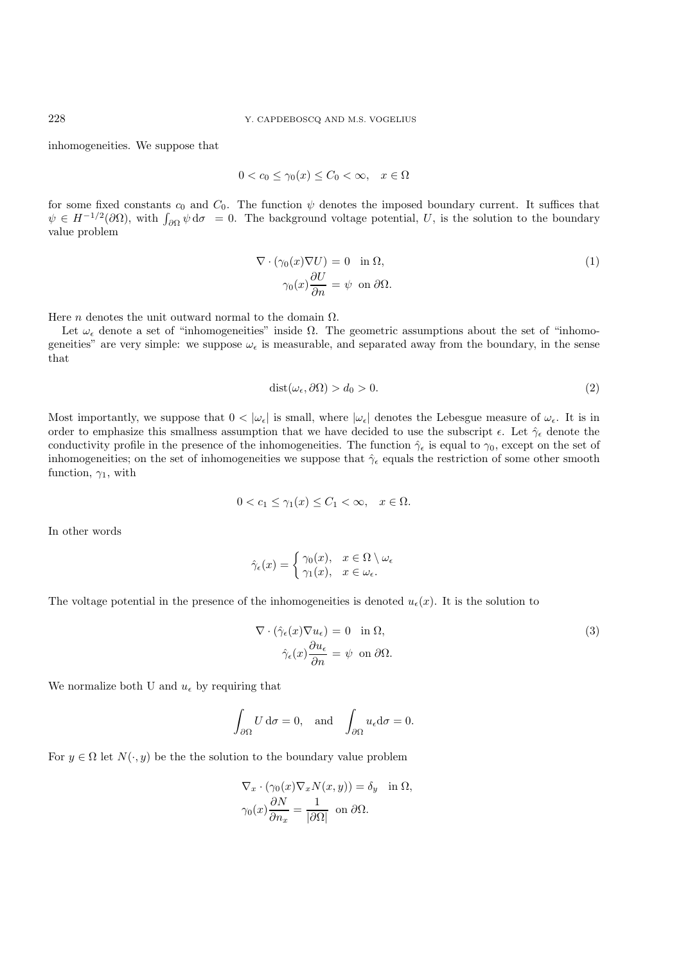inhomogeneities. We suppose that

$$
0 < c_0 \le \gamma_0(x) \le C_0 < \infty, \quad x \in \Omega
$$

for some fixed constants  $c_0$  and  $C_0$ . The function  $\psi$  denotes the imposed boundary current. It suffices that  $\psi \in H^{-1/2}(\partial\Omega)$ , with  $\int_{\partial\Omega}\psi \,d\sigma = 0$ . The background voltage potential, U, is the solution to the boundary value problem

$$
\nabla \cdot (\gamma_0(x)\nabla U) = 0 \quad \text{in } \Omega,
$$
  

$$
\gamma_0(x)\frac{\partial U}{\partial n} = \psi \quad \text{on } \partial\Omega.
$$
 (1)

Here *n* denotes the unit outward normal to the domain  $\Omega$ .

Let  $\omega_{\epsilon}$  denote a set of "inhomogeneities" inside  $\Omega$ . The geometric assumptions about the set of "inhomogeneities" are very simple: we suppose  $\omega_{\epsilon}$  is measurable, and separated away from the boundary, in the sense that

$$
dist(\omega_{\epsilon}, \partial \Omega) > d_0 > 0. \tag{2}
$$

Most importantly, we suppose that  $0 < |\omega_{\epsilon}|$  is small, where  $|\omega_{\epsilon}|$  denotes the Lebesgue measure of  $\omega_{\epsilon}$ . It is in order to emphasize this smallness assumption that we have decided to use the subscript  $\epsilon$ . Let  $\hat{\gamma}_{\epsilon}$  denote the conductivity profile in the presence of the inhomogeneities. The function  $\hat{\gamma}_{\epsilon}$  is equal to  $\gamma_0$ , except on the set of inhomogeneities; on the set of inhomogeneities we suppose that  $\hat{\gamma}_{\epsilon}$  equals the restriction of some other smooth function,  $\gamma_1$ , with

$$
0 < c_1 \le \gamma_1(x) \le C_1 < \infty, \quad x \in \Omega.
$$

In other words

$$
\hat{\gamma}_{\epsilon}(x) = \begin{cases} \gamma_0(x), & x \in \Omega \setminus \omega_{\epsilon} \\ \gamma_1(x), & x \in \omega_{\epsilon}. \end{cases}
$$

The voltage potential in the presence of the inhomogeneities is denoted  $u_{\epsilon}(x)$ . It is the solution to

$$
\nabla \cdot (\hat{\gamma}_{\epsilon}(x)\nabla u_{\epsilon}) = 0 \quad \text{in } \Omega,
$$
  

$$
\hat{\gamma}_{\epsilon}(x)\frac{\partial u_{\epsilon}}{\partial n} = \psi \quad \text{on } \partial\Omega.
$$
 (3)

We normalize both U and  $u_{\epsilon}$  by requiring that

$$
\int_{\partial\Omega} U \, \mathrm{d}\sigma = 0, \text{ and } \int_{\partial\Omega} u_{\epsilon} \mathrm{d}\sigma = 0.
$$

For  $y \in \Omega$  let  $N(\cdot, y)$  be the solution to the boundary value problem

$$
\nabla_x \cdot (\gamma_0(x)\nabla_x N(x,y)) = \delta_y \quad \text{in } \Omega,
$$
  

$$
\gamma_0(x)\frac{\partial N}{\partial n_x} = \frac{1}{|\partial\Omega|} \text{ on } \partial\Omega.
$$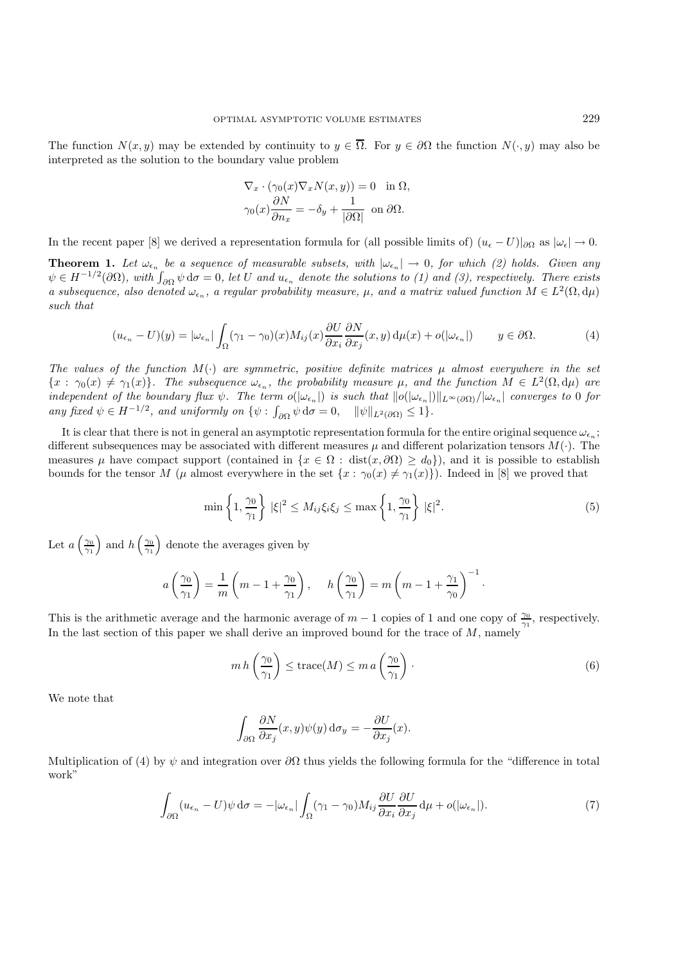The function  $N(x, y)$  may be extended by continuity to  $y \in \overline{\Omega}$ . For  $y \in \partial\Omega$  the function  $N(\cdot, y)$  may also be interpreted as the solution to the boundary value problem

$$
\nabla_x \cdot (\gamma_0(x) \nabla_x N(x, y)) = 0 \text{ in } \Omega,
$$
  

$$
\gamma_0(x) \frac{\partial N}{\partial n_x} = -\delta_y + \frac{1}{|\partial \Omega|} \text{ on } \partial \Omega.
$$

In the recent paper [8] we derived a representation formula for (all possible limits of)  $(u_{\epsilon} - U)|_{\partial\Omega}$  as  $|\omega_{\epsilon}| \to 0$ .

**Theorem 1.** Let  $\omega_{\epsilon_n}$  be a sequence of measurable subsets, with  $|\omega_{\epsilon_n}| \to 0$ , for which (2) holds. Given any  $\psi \in H^{-1/2}(\partial\Omega)$ , with  $\int_{\partial\Omega}\psi \,d\sigma = 0$ , let U and  $u_{\epsilon_n}$  denote the solutions to (1) and (3), respectively. There exists a subsequence, also denoted  $\omega_{\epsilon_n}$ , a regular probability measure,  $\mu$ , and a matrix valued function  $M \in L^2(\Omega, d\mu)$ *such that*

$$
(u_{\epsilon_n} - U)(y) = |\omega_{\epsilon_n}| \int_{\Omega} (\gamma_1 - \gamma_0)(x) M_{ij}(x) \frac{\partial U}{\partial x_i} \frac{\partial N}{\partial x_j}(x, y) d\mu(x) + o(|\omega_{\epsilon_n}|) \qquad y \in \partial \Omega.
$$
 (4)

The values of the function  $M(\cdot)$  are symmetric, positive definite matrices  $\mu$  almost everywhere in the set  ${x : \gamma_0(x) \neq \gamma_1(x)}$ . The subsequence  $\omega_{\epsilon_n}$ , the probability measure  $\mu$ , and the function  $M \in L^2(\Omega, d\mu)$  are  $\int$ *independent of the boundary flux*  $\psi$ . The term  $o(|\omega_{\epsilon_n}|)$  is such that  $||o(|\omega_{\epsilon_n}|)||_{L^{\infty}(\partial\Omega)}/|\omega_{\epsilon_n}|$  converges to 0 for *any fixed*  $\psi \in H^{-1/2}$ *, and uniformly on*  $\{\psi : \int_{\partial\Omega} \psi \, d\sigma = 0, \quad ||\psi||_{L^2(\partial\Omega)} \leq 1\}.$ 

It is clear that there is not in general an asymptotic representation formula for the entire original sequence  $\omega_{\epsilon_n}$ ; different subsequences may be associated with different measures  $\mu$  and different polarization tensors  $M(\cdot)$ . The measures  $\mu$  have compact support (contained in  $\{x \in \Omega : dist(x, \partial \Omega) \ge d_0\}$ ), and it is possible to establish bounds for the tensor M ( $\mu$  almost everywhere in the set  $\{x : \gamma_0(x) \neq \gamma_1(x)\}\)$ . Indeed in [8] we proved that

$$
\min\left\{1,\frac{\gamma_0}{\gamma_1}\right\}|\xi|^2 \le M_{ij}\xi_i\xi_j \le \max\left\{1,\frac{\gamma_0}{\gamma_1}\right\}|\xi|^2. \tag{5}
$$

Let  $a\left(\frac{\gamma_0}{\gamma_1}\right)$  and  $h\left(\frac{\gamma_0}{\gamma_1}\right)$  denote the averages given by

$$
a\left(\frac{\gamma_0}{\gamma_1}\right) = \frac{1}{m}\left(m - 1 + \frac{\gamma_0}{\gamma_1}\right), \quad h\left(\frac{\gamma_0}{\gamma_1}\right) = m\left(m - 1 + \frac{\gamma_1}{\gamma_0}\right)^{-1}.
$$

This is the arithmetic average and the harmonic average of  $m-1$  copies of 1 and one copy of  $\frac{\gamma_0}{\gamma_1}$ , respectively. In the last section of this paper we shall derive an improved bound for the trace of  $M$ , namely

$$
m h\left(\frac{\gamma_0}{\gamma_1}\right) \le \text{trace}(M) \le m a\left(\frac{\gamma_0}{\gamma_1}\right). \tag{6}
$$

We note that

$$
\int_{\partial\Omega} \frac{\partial N}{\partial x_j}(x, y)\psi(y) d\sigma_y = -\frac{\partial U}{\partial x_j}(x).
$$

Multiplication of (4) by  $\psi$  and integration over  $\partial\Omega$  thus yields the following formula for the "difference in total work"

$$
\int_{\partial\Omega} (u_{\epsilon_n} - U)\psi \,d\sigma = -|\omega_{\epsilon_n}| \int_{\Omega} (\gamma_1 - \gamma_0) M_{ij} \frac{\partial U}{\partial x_i} \frac{\partial U}{\partial x_j} \,d\mu + o(|\omega_{\epsilon_n}|). \tag{7}
$$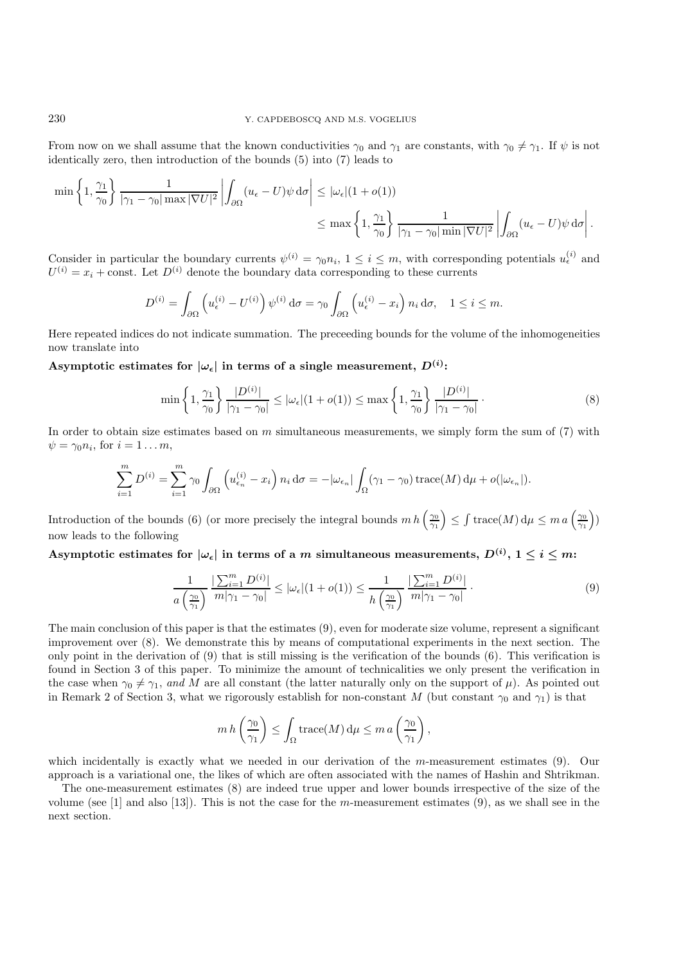From now on we shall assume that the known conductivities  $\gamma_0$  and  $\gamma_1$  are constants, with  $\gamma_0 \neq \gamma_1$ . If  $\psi$  is not identically zero, then introduction of the bounds (5) into (7) leads to

$$
\min\left\{1,\frac{\gamma_1}{\gamma_0}\right\}\frac{1}{|\gamma_1-\gamma_0|\max|\nabla U|^2}\left|\int_{\partial\Omega}(u_{\epsilon}-U)\psi\,\mathrm{d}\sigma\right| \leq |\omega_{\epsilon}|(1+o(1))\leq \max\left\{1,\frac{\gamma_1}{\gamma_0}\right\}\frac{1}{|\gamma_1-\gamma_0|\min|\nabla U|^2}\left|\int_{\partial\Omega}(u_{\epsilon}-U)\psi\,\mathrm{d}\sigma\right|.
$$

Consider in particular the boundary currents  $\psi^{(i)} = \gamma_0 n_i$ ,  $1 \leq i \leq m$ , with corresponding potentials  $u_{\epsilon}^{(i)}$  and  $U^{(i)} = x_i + \text{const.}$  Let  $D^{(i)}$  denote the boundary data corresponding to these currents

$$
D^{(i)} = \int_{\partial\Omega} \left( u_{\epsilon}^{(i)} - U^{(i)} \right) \psi^{(i)} d\sigma = \gamma_0 \int_{\partial\Omega} \left( u_{\epsilon}^{(i)} - x_i \right) n_i d\sigma, \quad 1 \le i \le m.
$$

Here repeated indices do not indicate summation. The preceeding bounds for the volume of the inhomogeneities now translate into

Asymptotic estimates for  $|\omega_{\epsilon}|$  in terms of a single measurement,  $D^{(i)}$ :

$$
\min\left\{1,\frac{\gamma_1}{\gamma_0}\right\}\frac{|D^{(i)}|}{|\gamma_1-\gamma_0|}\leq |\omega_{\epsilon}|(1+o(1))\leq \max\left\{1,\frac{\gamma_1}{\gamma_0}\right\}\frac{|D^{(i)}|}{|\gamma_1-\gamma_0|}.
$$
\n
$$
(8)
$$

In order to obtain size estimates based on  $m$  simultaneous measurements, we simply form the sum of  $(7)$  with  $\psi = \gamma_0 n_i$ , for  $i = 1 \dots m$ ,

$$
\sum_{i=1}^{m} D^{(i)} = \sum_{i=1}^{m} \gamma_0 \int_{\partial \Omega} \left( u_{\epsilon_n}^{(i)} - x_i \right) n_i \, d\sigma = -|\omega_{\epsilon_n}| \int_{\Omega} (\gamma_1 - \gamma_0) \operatorname{trace}(M) \, d\mu + o(|\omega_{\epsilon_n}|).
$$

Introduction of the bounds (6) (or more precisely the integral bounds  $m h\left(\frac{\gamma_0}{\gamma_1}\right) \leq \int \text{trace}(M) d\mu \leq m a\left(\frac{\gamma_0}{\gamma_1}\right)$ now leads to the following

**Asymptotic estimates for**  $|\omega_{\epsilon}|$  in terms of a *m* simultaneous measurements,  $D^{(i)}$ ,  $1 \leq i \leq m$ :

$$
\frac{1}{a\left(\frac{\gamma_0}{\gamma_1}\right)}\frac{\left|\sum_{i=1}^m D^{(i)}\right|}{m|\gamma_1 - \gamma_0|} \le |\omega_{\epsilon}| (1 + o(1)) \le \frac{1}{h\left(\frac{\gamma_0}{\gamma_1}\right)}\frac{\left|\sum_{i=1}^m D^{(i)}\right|}{m|\gamma_1 - \gamma_0|} \,. \tag{9}
$$

The main conclusion of this paper is that the estimates (9), even for moderate size volume, represent a significant improvement over (8). We demonstrate this by means of computational experiments in the next section. The only point in the derivation of (9) that is still missing is the verification of the bounds (6). This verification is found in Section 3 of this paper. To minimize the amount of technicalities we only present the verification in the case when  $\gamma_0 \neq \gamma_1$ , and M are all constant (the latter naturally only on the support of  $\mu$ ). As pointed out in Remark 2 of Section 3, what we rigorously establish for non-constant M (but constant  $\gamma_0$  and  $\gamma_1$ ) is that

$$
m h\left(\frac{\gamma_0}{\gamma_1}\right) \le \int_{\Omega} \operatorname{trace}(M) d\mu \le m a\left(\frac{\gamma_0}{\gamma_1}\right),
$$

which incidentally is exactly what we needed in our derivation of the m-measurement estimates (9). Our approach is a variational one, the likes of which are often associated with the names of Hashin and Shtrikman.

The one-measurement estimates (8) are indeed true upper and lower bounds irrespective of the size of the volume (see [1] and also [13]). This is not the case for the m-measurement estimates (9), as we shall see in the next section.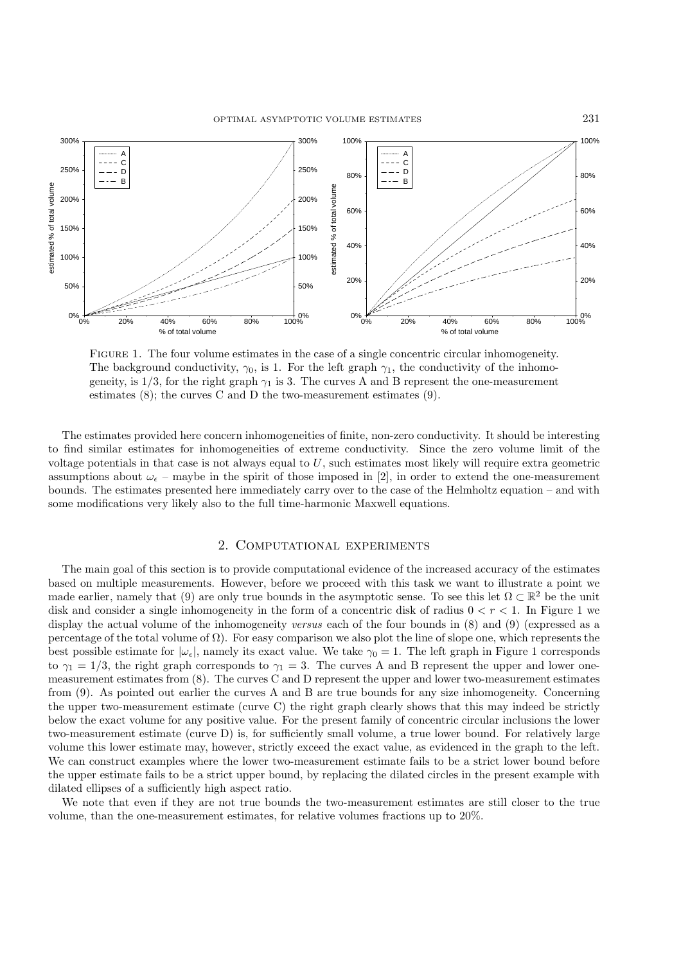

Figure 1. The four volume estimates in the case of a single concentric circular inhomogeneity. The background conductivity,  $\gamma_0$ , is 1. For the left graph  $\gamma_1$ , the conductivity of the inhomogeneity, is  $1/3$ , for the right graph  $\gamma_1$  is 3. The curves A and B represent the one-measurement estimates (8); the curves C and D the two-measurement estimates (9).

The estimates provided here concern inhomogeneities of finite, non-zero conductivity. It should be interesting to find similar estimates for inhomogeneities of extreme conductivity. Since the zero volume limit of the voltage potentials in that case is not always equal to  $U$ , such estimates most likely will require extra geometric assumptions about  $\omega_{\epsilon}$  – maybe in the spirit of those imposed in [2], in order to extend the one-measurement bounds. The estimates presented here immediately carry over to the case of the Helmholtz equation – and with some modifications very likely also to the full time-harmonic Maxwell equations.

### 2. Computational experiments

The main goal of this section is to provide computational evidence of the increased accuracy of the estimates based on multiple measurements. However, before we proceed with this task we want to illustrate a point we made earlier, namely that (9) are only true bounds in the asymptotic sense. To see this let  $\Omega \subset \mathbb{R}^2$  be the unit disk and consider a single inhomogeneity in the form of a concentric disk of radius  $0 < r < 1$ . In Figure 1 we display the actual volume of the inhomogeneity *versus* each of the four bounds in (8) and (9) (expressed as a percentage of the total volume of  $\Omega$ ). For easy comparison we also plot the line of slope one, which represents the best possible estimate for  $|\omega_{\epsilon}|$ , namely its exact value. We take  $\gamma_0 = 1$ . The left graph in Figure 1 corresponds to  $\gamma_1 = 1/3$ , the right graph corresponds to  $\gamma_1 = 3$ . The curves A and B represent the upper and lower onemeasurement estimates from (8). The curves C and D represent the upper and lower two-measurement estimates from (9). As pointed out earlier the curves A and B are true bounds for any size inhomogeneity. Concerning the upper two-measurement estimate (curve C) the right graph clearly shows that this may indeed be strictly below the exact volume for any positive value. For the present family of concentric circular inclusions the lower two-measurement estimate (curve D) is, for sufficiently small volume, a true lower bound. For relatively large volume this lower estimate may, however, strictly exceed the exact value, as evidenced in the graph to the left. We can construct examples where the lower two-measurement estimate fails to be a strict lower bound before the upper estimate fails to be a strict upper bound, by replacing the dilated circles in the present example with dilated ellipses of a sufficiently high aspect ratio.

We note that even if they are not true bounds the two-measurement estimates are still closer to the true volume, than the one-measurement estimates, for relative volumes fractions up to 20%.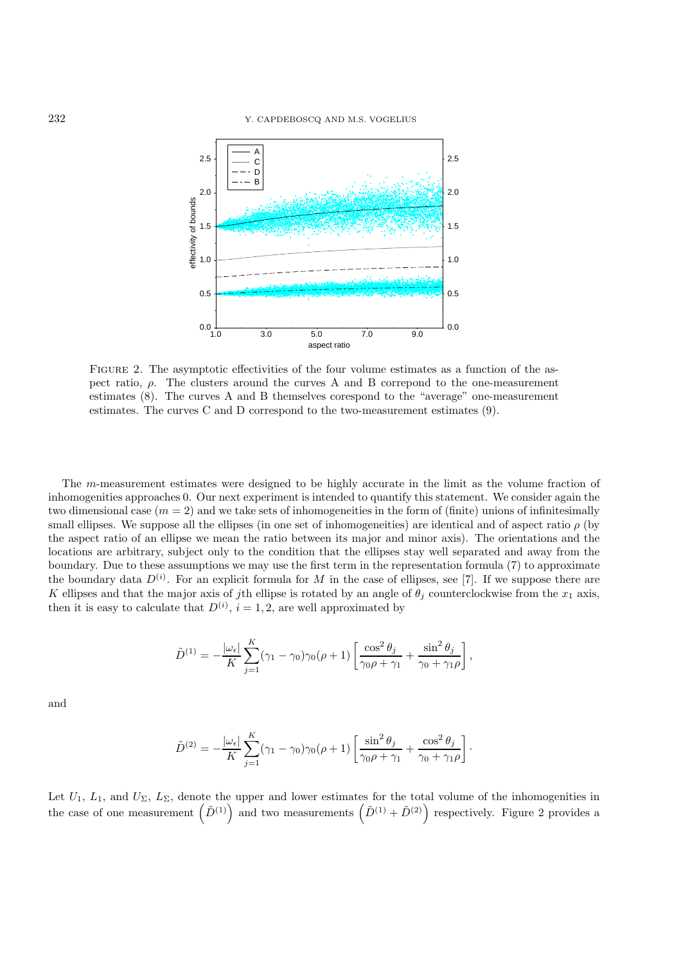

Figure 2. The asymptotic effectivities of the four volume estimates as a function of the aspect ratio,  $\rho$ . The clusters around the curves A and B correspond to the one-measurement estimates (8). The curves A and B themselves corespond to the "average" one-measurement estimates. The curves C and D correspond to the two-measurement estimates (9).

The m-measurement estimates were designed to be highly accurate in the limit as the volume fraction of inhomogenities approaches 0. Our next experiment is intended to quantify this statement. We consider again the two dimensional case  $(m = 2)$  and we take sets of inhomogeneities in the form of (finite) unions of infinitesimally small ellipses. We suppose all the ellipses (in one set of inhomogeneities) are identical and of aspect ratio  $\rho$  (by the aspect ratio of an ellipse we mean the ratio between its major and minor axis). The orientations and the locations are arbitrary, subject only to the condition that the ellipses stay well separated and away from the boundary. Due to these assumptions we may use the first term in the representation formula (7) to approximate the boundary data  $D^{(i)}$ . For an explicit formula for M in the case of ellipses, see [7]. If we suppose there are K ellipses and that the major axis of jth ellipse is rotated by an angle of  $\theta_j$  counterclockwise from the  $x_1$  axis, then it is easy to calculate that  $D^{(i)}$ ,  $i = 1, 2$ , are well approximated by

$$
\tilde{D}^{(1)} = -\frac{|\omega_{\epsilon}|}{K} \sum_{j=1}^{K} (\gamma_1 - \gamma_0) \gamma_0(\rho + 1) \left[ \frac{\cos^2 \theta_j}{\gamma_0 \rho + \gamma_1} + \frac{\sin^2 \theta_j}{\gamma_0 + \gamma_1 \rho} \right],
$$

and

$$
\tilde{D}^{(2)} = -\frac{|\omega_{\epsilon}|}{K} \sum_{j=1}^{K} (\gamma_1 - \gamma_0) \gamma_0(\rho + 1) \left[ \frac{\sin^2 \theta_j}{\gamma_0 \rho + \gamma_1} + \frac{\cos^2 \theta_j}{\gamma_0 + \gamma_1 \rho} \right].
$$

Let  $U_1, L_1$ , and  $U_\Sigma, L_\Sigma$ , denote the upper and lower estimates for the total volume of the inhomogenities in the case of one measurement  $(\tilde{D}^{(1)})$  and two measurements  $(\tilde{D}^{(1)} + \tilde{D}^{(2)})$  respectively. Figure 2 provides a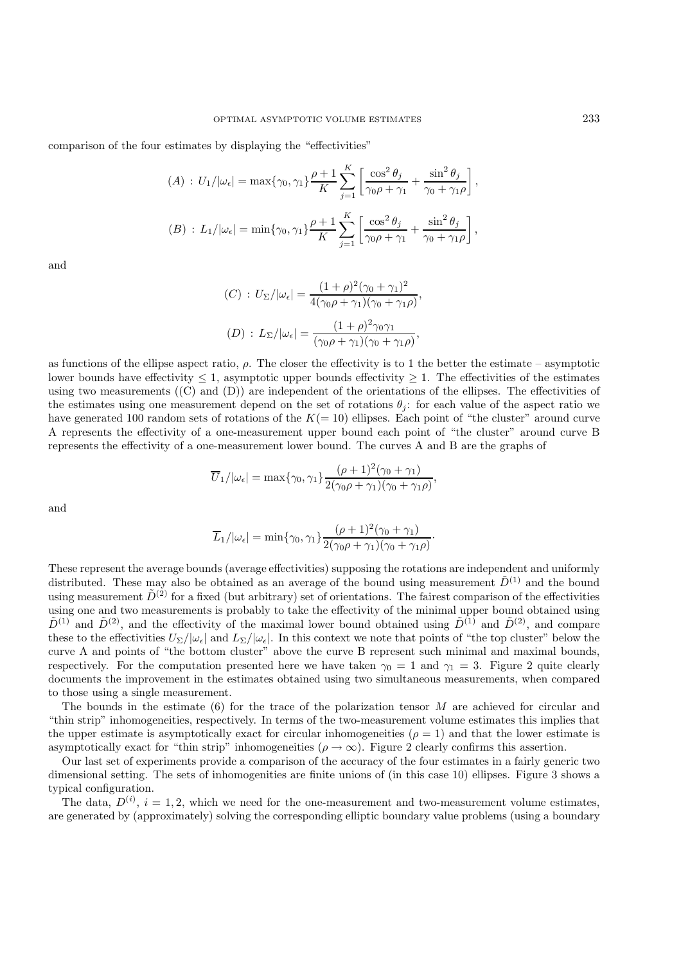comparison of the four estimates by displaying the "effectivities"

$$
(A) : U_1/|\omega_{\epsilon}| = \max\{\gamma_0, \gamma_1\} \frac{\rho + 1}{K} \sum_{j=1}^K \left[ \frac{\cos^2 \theta_j}{\gamma_0 \rho + \gamma_1} + \frac{\sin^2 \theta_j}{\gamma_0 + \gamma_1 \rho} \right],
$$
  

$$
(B) : L_1/|\omega_{\epsilon}| = \min\{\gamma_0, \gamma_1\} \frac{\rho + 1}{K} \sum_{j=1}^K \left[ \frac{\cos^2 \theta_j}{\gamma_0 \rho + \gamma_1} + \frac{\sin^2 \theta_j}{\gamma_0 + \gamma_1 \rho} \right],
$$

and

$$
(C) : U_{\Sigma}/|\omega_{\epsilon}| = \frac{(1+\rho)^{2}(\gamma_{0}+\gamma_{1})^{2}}{4(\gamma_{0}\rho+\gamma_{1})(\gamma_{0}+\gamma_{1}\rho)},
$$

$$
(D) : L_{\Sigma}/|\omega_{\epsilon}| = \frac{(1+\rho)^{2}\gamma_{0}\gamma_{1}}{(\gamma_{0}\rho+\gamma_{1})(\gamma_{0}+\gamma_{1}\rho)},
$$

as functions of the ellipse aspect ratio,  $\rho$ . The closer the effectivity is to 1 the better the estimate – asymptotic lower bounds have effectivity  $\leq 1$ , asymptotic upper bounds effectivity  $\geq 1$ . The effectivities of the estimates using two measurements  $((C)$  and  $(D)$ ) are independent of the orientations of the ellipses. The effectivities of the estimates using one measurement depend on the set of rotations  $\theta_i$ : for each value of the aspect ratio we have generated 100 random sets of rotations of the  $K(= 10)$  ellipses. Each point of "the cluster" around curve A represents the effectivity of a one-measurement upper bound each point of "the cluster" around curve B represents the effectivity of a one-measurement lower bound. The curves A and B are the graphs of

$$
\overline{U}_1/|\omega_{\epsilon}| = \max\{\gamma_0, \gamma_1\} \frac{(\rho+1)^2(\gamma_0+\gamma_1)}{2(\gamma_0\rho+\gamma_1)(\gamma_0+\gamma_1\rho)},
$$

and

$$
\overline{L}_1/|\omega_{\epsilon}| = \min\{\gamma_0, \gamma_1\} \frac{(\rho+1)^2(\gamma_0+\gamma_1)}{2(\gamma_0\rho+\gamma_1)(\gamma_0+\gamma_1\rho)}.
$$

These represent the average bounds (average effectivities) supposing the rotations are independent and uniformly distributed. These may also be obtained as an average of the bound using measurement  $\tilde{D}^{(1)}$  and the bound using measurement  $\tilde{D}^{(2)}$  for a fixed (but arbitrary) set of orientations. The fairest comparison of the effectivities using one and two measurements is probably to take the effectivity of the minimal upper bound obtained using  $\tilde{D}^{(1)}$  and  $\tilde{D}^{(2)}$ , and the effectivity of the maximal lower bound obtained using  $\tilde{D}^{(1)}$  and  $\tilde{D}^{(2)}$ , and compare these to the effectivities  $U_{\Sigma}/|\omega_{\epsilon}|$  and  $L_{\Sigma}/|\omega_{\epsilon}|$ . In this context we note that points of "the top cluster" below the curve A and points of "the bottom cluster" above the curve B represent such minimal and maximal bounds, respectively. For the computation presented here we have taken  $\gamma_0 = 1$  and  $\gamma_1 = 3$ . Figure 2 quite clearly documents the improvement in the estimates obtained using two simultaneous measurements, when compared to those using a single measurement.

The bounds in the estimate  $(6)$  for the trace of the polarization tensor M are achieved for circular and "thin strip" inhomogeneities, respectively. In terms of the two-measurement volume estimates this implies that the upper estimate is asymptotically exact for circular inhomogeneities  $(\rho = 1)$  and that the lower estimate is asymptotically exact for "thin strip" inhomogeneities ( $\rho \to \infty$ ). Figure 2 clearly confirms this assertion.

Our last set of experiments provide a comparison of the accuracy of the four estimates in a fairly generic two dimensional setting. The sets of inhomogenities are finite unions of (in this case 10) ellipses. Figure 3 shows a typical configuration.

The data,  $D^{(i)}$ ,  $i = 1, 2$ , which we need for the one-measurement and two-measurement volume estimates, are generated by (approximately) solving the corresponding elliptic boundary value problems (using a boundary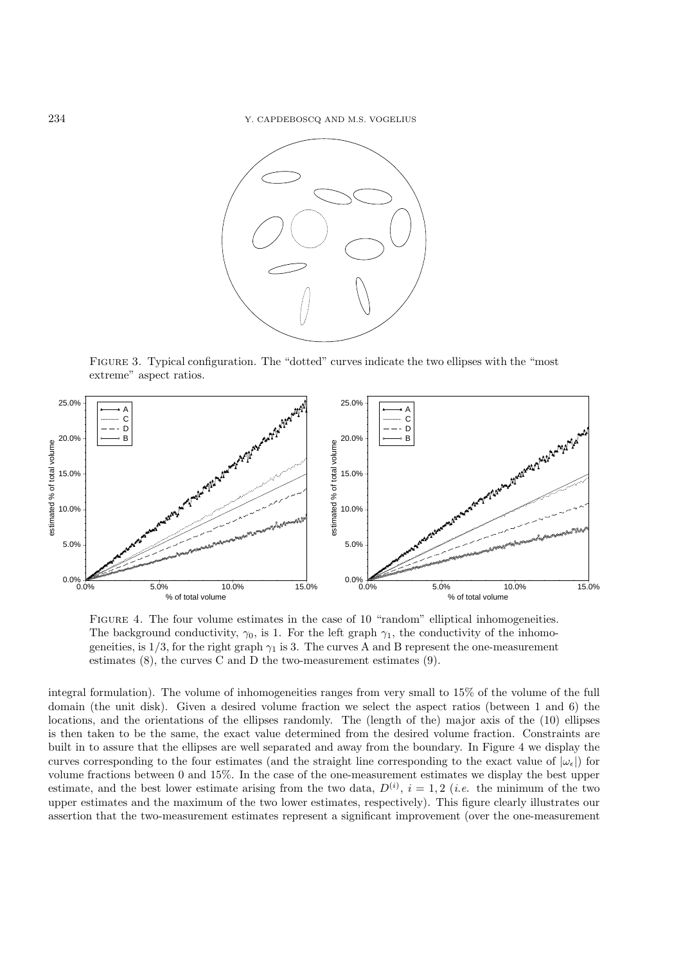

Figure 3. Typical configuration. The "dotted" curves indicate the two ellipses with the "most extreme" aspect ratios.



FIGURE 4. The four volume estimates in the case of 10 "random" elliptical inhomogeneities. The background conductivity,  $\gamma_0$ , is 1. For the left graph  $\gamma_1$ , the conductivity of the inhomogeneities, is  $1/3$ , for the right graph  $\gamma_1$  is 3. The curves A and B represent the one-measurement estimates (8), the curves C and D the two-measurement estimates (9).

integral formulation). The volume of inhomogeneities ranges from very small to 15% of the volume of the full domain (the unit disk). Given a desired volume fraction we select the aspect ratios (between 1 and 6) the locations, and the orientations of the ellipses randomly. The (length of the) major axis of the (10) ellipses is then taken to be the same, the exact value determined from the desired volume fraction. Constraints are built in to assure that the ellipses are well separated and away from the boundary. In Figure 4 we display the curves corresponding to the four estimates (and the straight line corresponding to the exact value of  $|\omega_{\epsilon}|$ ) for volume fractions between 0 and 15%. In the case of the one-measurement estimates we display the best upper estimate, and the best lower estimate arising from the two data,  $D^{(i)}$ ,  $i = 1, 2$  (*i.e.* the minimum of the two upper estimates and the maximum of the two lower estimates, respectively). This figure clearly illustrates our assertion that the two-measurement estimates represent a significant improvement (over the one-measurement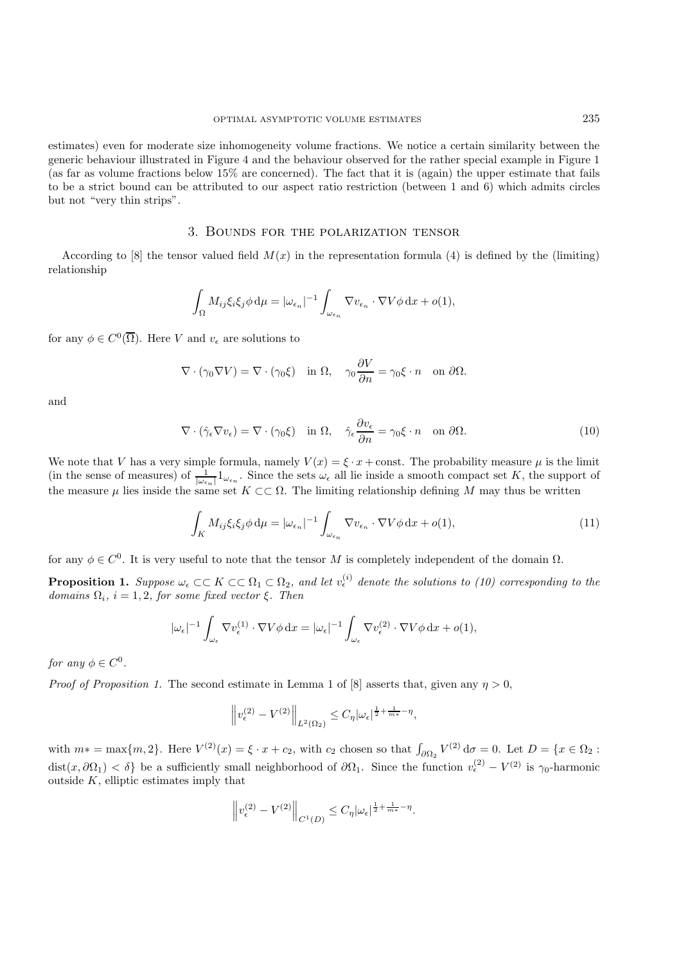estimates) even for moderate size inhomogeneity volume fractions. We notice a certain similarity between the generic behaviour illustrated in Figure 4 and the behaviour observed for the rather special example in Figure 1 (as far as volume fractions below 15% are concerned). The fact that it is (again) the upper estimate that fails to be a strict bound can be attributed to our aspect ratio restriction (between 1 and 6) which admits circles but not "very thin strips".

### 3. Bounds for the polarization tensor

According to [8] the tensor valued field  $M(x)$  in the representation formula (4) is defined by the (limiting) relationship

$$
\int_{\Omega} M_{ij} \xi_i \xi_j \phi \, \mathrm{d}\mu = |\omega_{\epsilon_n}|^{-1} \int_{\omega_{\epsilon_n}} \nabla v_{\epsilon_n} \cdot \nabla V \phi \, \mathrm{d}x + o(1),
$$

for any  $\phi \in C^0(\overline{\Omega})$ . Here V and  $v_{\epsilon}$  are solutions to

$$
\nabla \cdot (\gamma_0 \nabla V) = \nabla \cdot (\gamma_0 \xi) \quad \text{in } \Omega, \quad \gamma_0 \frac{\partial V}{\partial n} = \gamma_0 \xi \cdot n \quad \text{on } \partial \Omega.
$$

and

$$
\nabla \cdot (\hat{\gamma}_{\epsilon} \nabla v_{\epsilon}) = \nabla \cdot (\gamma_0 \xi) \quad \text{in } \Omega, \quad \hat{\gamma}_{\epsilon} \frac{\partial v_{\epsilon}}{\partial n} = \gamma_0 \xi \cdot n \quad \text{on } \partial \Omega. \tag{10}
$$

We note that V has a very simple formula, namely  $V(x) = \xi \cdot x + \text{const.}$  The probability measure  $\mu$  is the limit (in the sense of measures) of  $\frac{1}{|\omega_{\epsilon_n}|} 1_{\omega_{\epsilon_n}}$ . Since the sets  $\omega_{\epsilon}$  all lie inside a smooth compact set K, the support of the measure  $\mu$  lies inside the same set  $K \subset\subset \Omega$ . The limiting relationship defining M may thus be written

$$
\int_{K} M_{ij} \xi_{i} \xi_{j} \phi \, d\mu = |\omega_{\epsilon_{n}}|^{-1} \int_{\omega_{\epsilon_{n}}} \nabla v_{\epsilon_{n}} \cdot \nabla V \phi \, dx + o(1), \tag{11}
$$

for any  $\phi \in C^0$ . It is very useful to note that the tensor M is completely independent of the domain  $\Omega$ .

**Proposition 1.** Suppose  $\omega_{\epsilon} \subset\subset K \subset\subset \Omega_1 \subset \Omega_2$ , and let  $v_{\epsilon}^{(i)}$  denote the solutions to (10) corresponding to the  $domains \Omega_i, i = 1, 2, for some fixed vector \xi. Then$ 

$$
|\omega_{\epsilon}|^{-1} \int_{\omega_{\epsilon}} \nabla v_{\epsilon}^{(1)} \cdot \nabla V \phi \,dx = |\omega_{\epsilon}|^{-1} \int_{\omega_{\epsilon}} \nabla v_{\epsilon}^{(2)} \cdot \nabla V \phi \,dx + o(1),
$$

*for any*  $\phi \in C^0$ .

*Proof of Proposition 1.* The second estimate in Lemma 1 of [8] asserts that, given any  $n > 0$ ,

$$
\left\|v_{\epsilon}^{(2)}-V^{(2)}\right\|_{L^2(\Omega_2)}\leq C_{\eta}|\omega_{\epsilon}|^{\frac{1}{2}+\frac{1}{m_*}-\eta},
$$

with  $m* = \max\{m, 2\}$ . Here  $V^{(2)}(x) = \xi \cdot x + c_2$ , with  $c_2$  chosen so that  $\int_{\partial \Omega_2} V^{(2)} d\sigma = 0$ . Let  $D = \{x \in \Omega_2 :$  $dist(x, \partial \Omega_1) < \delta$  be a sufficiently small neighborhood of  $\partial \Omega_1$ . Since the function  $v_{\epsilon}^{(2)} - V^{(2)}$  is  $\gamma_0$ -harmonic outside  $K$ , elliptic estimates imply that

$$
\left\|v_{\epsilon}^{(2)}-V^{(2)}\right\|_{C^{1}(D)}\leq C_{\eta}|\omega_{\epsilon}|^{\frac{1}{2}+\frac{1}{m*}-\eta}.
$$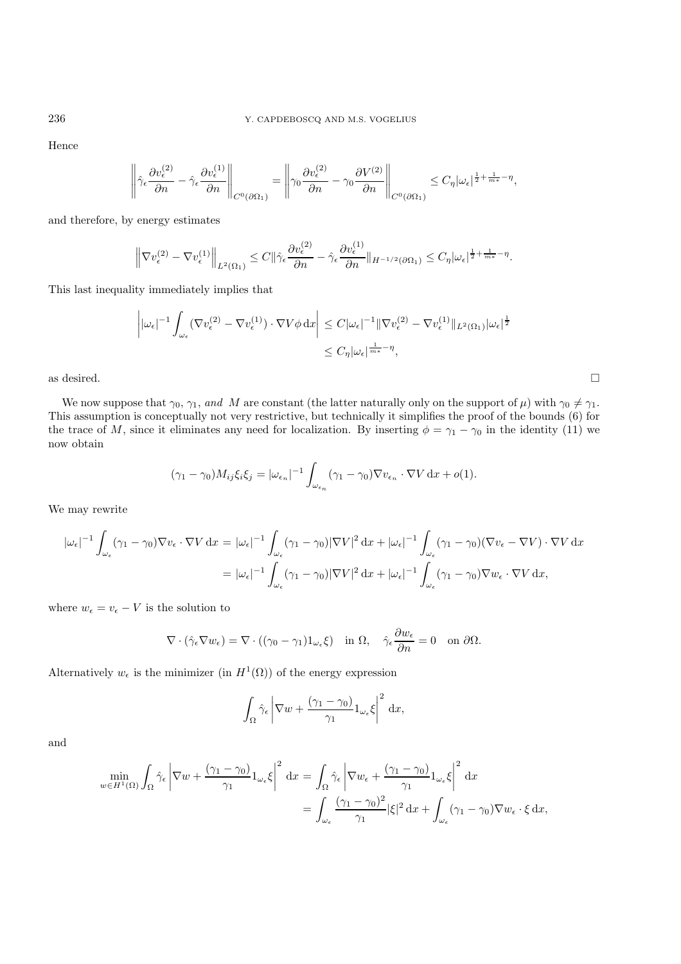Hence

$$
\left\|\hat{\gamma}_{\epsilon}\frac{\partial v_{\epsilon}^{(2)}}{\partial n}-\hat{\gamma}_{\epsilon}\frac{\partial v_{\epsilon}^{(1)}}{\partial n}\right\|_{C^0(\partial \Omega_1)}=\left\|\gamma_0\frac{\partial v_{\epsilon}^{(2)}}{\partial n}-\gamma_0\frac{\partial V^{(2)}}{\partial n}\right\|_{C^0(\partial \Omega_1)}\leq C_{\eta}|\omega_{\epsilon}|^{\frac{1}{2}+\frac{1}{m*}-\eta},
$$

and therefore, by energy estimates

$$
\left\|\nabla v_{\epsilon}^{(2)} - \nabla v_{\epsilon}^{(1)}\right\|_{L^{2}(\Omega_{1})} \leq C\|\hat{\gamma}_{\epsilon}\frac{\partial v_{\epsilon}^{(2)}}{\partial n} - \hat{\gamma}_{\epsilon}\frac{\partial v_{\epsilon}^{(1)}}{\partial n}\|_{H^{-1/2}(\partial\Omega_{1})} \leq C_{\eta}|\omega_{\epsilon}|^{\frac{1}{2} + \frac{1}{m^{*}} - \eta}.
$$

This last inequality immediately implies that

$$
\left| |\omega_{\epsilon}|^{-1} \int_{\omega_{\epsilon}} (\nabla v_{\epsilon}^{(2)} - \nabla v_{\epsilon}^{(1)}) \cdot \nabla V \phi \,dx \right| \leq C |\omega_{\epsilon}|^{-1} \|\nabla v_{\epsilon}^{(2)} - \nabla v_{\epsilon}^{(1)} \|_{L^{2}(\Omega_{1})} |\omega_{\epsilon}|^{\frac{1}{2}} \leq C_{\eta} |\omega_{\epsilon}|^{\frac{1}{m_{\ast}} - \eta},
$$

as desired.  $\square$ 

We now suppose that  $\gamma_0, \gamma_1$ , and M are constant (the latter naturally only on the support of  $\mu$ ) with  $\gamma_0 \neq \gamma_1$ . This assumption is conceptually not very restrictive, but technically it simplifies the proof of the bounds (6) for the trace of M, since it eliminates any need for localization. By inserting  $\phi = \gamma_1 - \gamma_0$  in the identity (11) we now obtain

$$
(\gamma_1 - \gamma_0) M_{ij} \xi_i \xi_j = |\omega_{\epsilon_n}|^{-1} \int_{\omega_{\epsilon_n}} (\gamma_1 - \gamma_0) \nabla v_{\epsilon_n} \cdot \nabla V \, \mathrm{d}x + o(1).
$$

We may rewrite

$$
|\omega_{\epsilon}|^{-1} \int_{\omega_{\epsilon}} (\gamma_1 - \gamma_0) \nabla v_{\epsilon} \cdot \nabla V \, dx = |\omega_{\epsilon}|^{-1} \int_{\omega_{\epsilon}} (\gamma_1 - \gamma_0) |\nabla V|^2 \, dx + |\omega_{\epsilon}|^{-1} \int_{\omega_{\epsilon}} (\gamma_1 - \gamma_0) (\nabla v_{\epsilon} - \nabla V) \cdot \nabla V \, dx
$$

$$
= |\omega_{\epsilon}|^{-1} \int_{\omega_{\epsilon}} (\gamma_1 - \gamma_0) |\nabla V|^2 \, dx + |\omega_{\epsilon}|^{-1} \int_{\omega_{\epsilon}} (\gamma_1 - \gamma_0) \nabla w_{\epsilon} \cdot \nabla V \, dx,
$$

where  $w_{\epsilon} = v_{\epsilon} - V$  is the solution to

$$
\nabla \cdot (\hat{\gamma}_{\epsilon} \nabla w_{\epsilon}) = \nabla \cdot ((\gamma_0 - \gamma_1) 1_{\omega_{\epsilon}} \xi) \quad \text{in } \Omega, \quad \hat{\gamma}_{\epsilon} \frac{\partial w_{\epsilon}}{\partial n} = 0 \quad \text{on } \partial \Omega.
$$

Alternatively  $w_{\epsilon}$  is the minimizer (in  $H^{1}(\Omega)$ ) of the energy expression

$$
\int_{\Omega} \hat{\gamma}_{\epsilon} \left| \nabla w + \frac{(\gamma_1 - \gamma_0)}{\gamma_1} 1_{\omega_{\epsilon}} \xi \right|^2 dx,
$$

and

$$
\min_{w \in H^1(\Omega)} \int_{\Omega} \hat{\gamma}_{\epsilon} \left| \nabla w + \frac{(\gamma_1 - \gamma_0)}{\gamma_1} 1_{\omega_{\epsilon}} \xi \right|^2 dx = \int_{\Omega} \hat{\gamma}_{\epsilon} \left| \nabla w_{\epsilon} + \frac{(\gamma_1 - \gamma_0)}{\gamma_1} 1_{\omega_{\epsilon}} \xi \right|^2 dx
$$

$$
= \int_{\omega_{\epsilon}} \frac{(\gamma_1 - \gamma_0)^2}{\gamma_1} |\xi|^2 dx + \int_{\omega_{\epsilon}} (\gamma_1 - \gamma_0) \nabla w_{\epsilon} \cdot \xi dx,
$$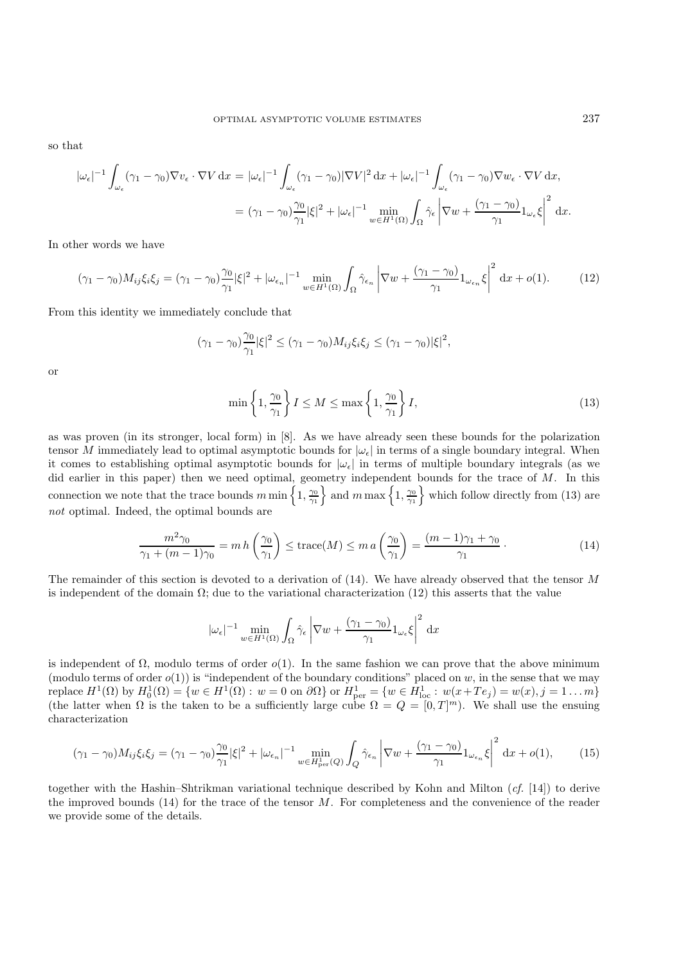so that

$$
\begin{split} |\omega_{\epsilon}|^{-1} \int_{\omega_{\epsilon}} (\gamma_{1} - \gamma_{0}) \nabla v_{\epsilon} \cdot \nabla V \, \mathrm{d}x &= |\omega_{\epsilon}|^{-1} \int_{\omega_{\epsilon}} (\gamma_{1} - \gamma_{0}) |\nabla V|^{2} \, \mathrm{d}x + |\omega_{\epsilon}|^{-1} \int_{\omega_{\epsilon}} (\gamma_{1} - \gamma_{0}) \nabla w_{\epsilon} \cdot \nabla V \, \mathrm{d}x, \\ &= (\gamma_{1} - \gamma_{0}) \frac{\gamma_{0}}{\gamma_{1}} |\xi|^{2} + |\omega_{\epsilon}|^{-1} \min_{w \in H^{1}(\Omega)} \int_{\Omega} \hat{\gamma}_{\epsilon} \left| \nabla w + \frac{(\gamma_{1} - \gamma_{0})}{\gamma_{1}} 1_{\omega_{\epsilon}} \xi \right|^{2} \, \mathrm{d}x. \end{split}
$$

In other words we have

$$
(\gamma_1 - \gamma_0)M_{ij}\xi_i\xi_j = (\gamma_1 - \gamma_0)\frac{\gamma_0}{\gamma_1}|\xi|^2 + |\omega_{\epsilon_n}|^{-1}\min_{w \in H^1(\Omega)}\int_{\Omega}\hat{\gamma}_{\epsilon_n}\left|\nabla w + \frac{(\gamma_1 - \gamma_0)}{\gamma_1}1_{\omega_{\epsilon_n}}\xi\right|^2 dx + o(1).
$$
 (12)

From this identity we immediately conclude that

$$
(\gamma_1 - \gamma_0) \frac{\gamma_0}{\gamma_1} |\xi|^2 \le (\gamma_1 - \gamma_0) M_{ij} \xi_i \xi_j \le (\gamma_1 - \gamma_0) |\xi|^2,
$$

or

$$
\min\left\{1,\frac{\gamma_0}{\gamma_1}\right\}I \le M \le \max\left\{1,\frac{\gamma_0}{\gamma_1}\right\}I,\tag{13}
$$

as was proven (in its stronger, local form) in [8]. As we have already seen these bounds for the polarization tensor M immediately lead to optimal asymptotic bounds for  $|\omega_{\epsilon}|$  in terms of a single boundary integral. When it comes to establishing optimal asymptotic bounds for  $|\omega_{\epsilon}|$  in terms of multiple boundary integrals (as we did earlier in this paper) then we need optimal, geometry independent bounds for the trace of M. In this connection we note that the trace bounds  $m \min\left\{1, \frac{\gamma_0}{\gamma_1}\right\}$  and  $m \max\left\{1, \frac{\gamma_0}{\gamma_1}\right\}$  which follow directly from (13) are *not* optimal. Indeed, the optimal bounds are

$$
\frac{m^2 \gamma_0}{\gamma_1 + (m-1)\gamma_0} = m h\left(\frac{\gamma_0}{\gamma_1}\right) \le \text{trace}(M) \le m a\left(\frac{\gamma_0}{\gamma_1}\right) = \frac{(m-1)\gamma_1 + \gamma_0}{\gamma_1} \,. \tag{14}
$$

The remainder of this section is devoted to a derivation of  $(14)$ . We have already observed that the tensor M is independent of the domain  $\Omega$ ; due to the variational characterization (12) this asserts that the value

$$
|\omega_{\epsilon}|^{-1} \min_{w \in H^{1}(\Omega)} \int_{\Omega} \hat{\gamma}_{\epsilon} \left| \nabla w + \frac{(\gamma_{1} - \gamma_{0})}{\gamma_{1}} 1_{\omega_{\epsilon}} \xi \right|^{2} dx
$$

is independent of  $\Omega$ , modulo terms of order  $o(1)$ . In the same fashion we can prove that the above minimum (modulo terms of order  $o(1)$ ) is "independent of the boundary conditions" placed on w, in the sense that we may replace  $H^1(\Omega)$  by  $H_0^1(\Omega) = \{w \in H^1(\Omega) : w = 0 \text{ on } \partial\Omega\}$  or  $H_{\text{per}}^1 = \{w \in H_{\text{loc}}^1 : w(x + Te_j) = w(x), j = 1 \dots m\}$ (the latter when  $\Omega$  is the taken to be a sufficiently large cube  $\Omega = Q = [0, T]^m$ ). We shall use the ensuing characterization

$$
(\gamma_1 - \gamma_0)M_{ij}\xi_i\xi_j = (\gamma_1 - \gamma_0)\frac{\gamma_0}{\gamma_1}|\xi|^2 + |\omega_{\epsilon_n}|^{-1} \min_{w \in H^1_{\text{per}}(Q)} \int_Q \hat{\gamma}_{\epsilon_n} \left| \nabla w + \frac{(\gamma_1 - \gamma_0)}{\gamma_1} 1_{\omega_{\epsilon_n}} \xi \right|^2 dx + o(1), \tag{15}
$$

together with the Hashin–Shtrikman variational technique described by Kohn and Milton (*cf.* [14]) to derive the improved bounds  $(14)$  for the trace of the tensor M. For completeness and the convenience of the reader we provide some of the details.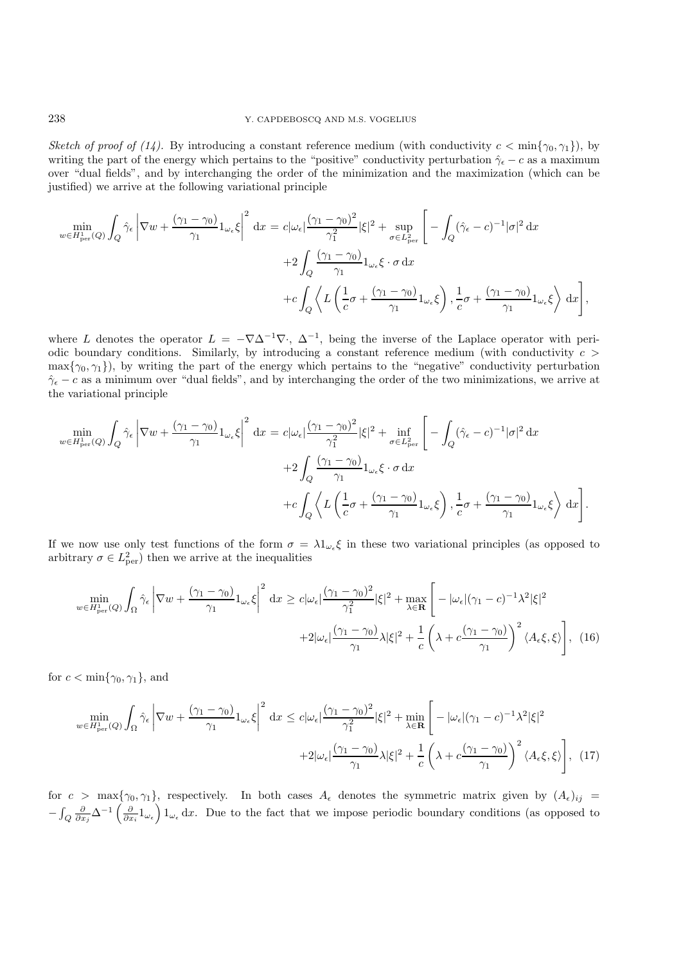*Sketch of proof of (14).* By introducing a constant reference medium (with conductivity  $c < \min\{\gamma_0, \gamma_1\}$ ), by writing the part of the energy which pertains to the "positive" conductivity perturbation  $\hat{\gamma}_{\epsilon} - c$  as a maximum over "dual fields", and by interchanging the order of the minimization and the maximization (which can be justified) we arrive at the following variational principle

$$
\min_{w \in H_{\text{per}}^1(Q)} \int_Q \hat{\gamma}_{\epsilon} \left| \nabla w + \frac{(\gamma_1 - \gamma_0)}{\gamma_1} 1_{\omega_{\epsilon}} \xi \right|^2 dx = c |\omega_{\epsilon}| \frac{(\gamma_1 - \gamma_0)^2}{\gamma_1^2} |\xi|^2 + \sup_{\sigma \in L_{\text{per}}^2} \left[ - \int_Q (\hat{\gamma}_{\epsilon} - c)^{-1} |\sigma|^2 dx \right.
$$
  
+2\int\_Q \frac{(\gamma\_1 - \gamma\_0)}{\gamma\_1} 1\_{\omega\_{\epsilon}} \xi \cdot \sigma dx  
+c\int\_Q \left\langle L \left( \frac{1}{c} \sigma + \frac{(\gamma\_1 - \gamma\_0)}{\gamma\_1} 1\_{\omega\_{\epsilon}} \xi \right), \frac{1}{c} \sigma + \frac{(\gamma\_1 - \gamma\_0)}{\gamma\_1} 1\_{\omega\_{\epsilon}} \xi \right\rangle dx \right],

where L denotes the operator  $L = -\nabla \Delta^{-1} \nabla \cdot$ ,  $\Delta^{-1}$ , being the inverse of the Laplace operator with periodic boundary conditions. Similarly, by introducing a constant reference medium (with conductivity  $c >$  $\max\{\gamma_0, \gamma_1\}$ , by writing the part of the energy which pertains to the "negative" conductivity perturbation  $\hat{\gamma}_{\epsilon} - c$  as a minimum over "dual fields", and by interchanging the order of the two minimizations, we arrive at the variational principle

$$
\min_{w \in H_{\text{per}}^1(Q)} \int_Q \hat{\gamma}_{\epsilon} \left| \nabla w + \frac{(\gamma_1 - \gamma_0)}{\gamma_1} 1_{\omega_{\epsilon}} \xi \right|^2 dx = c |\omega_{\epsilon}| \frac{(\gamma_1 - \gamma_0)^2}{\gamma_1^2} |\xi|^2 + \inf_{\sigma \in L_{\text{per}}^2} \left[ - \int_Q (\hat{\gamma}_{\epsilon} - c)^{-1} |\sigma|^2 dx \right.
$$

$$
+ 2 \int_Q \frac{(\gamma_1 - \gamma_0)}{\gamma_1} 1_{\omega_{\epsilon}} \xi \cdot \sigma dx
$$

$$
+ c \int_Q \left\langle L \left( \frac{1}{c} \sigma + \frac{(\gamma_1 - \gamma_0)}{\gamma_1} 1_{\omega_{\epsilon}} \xi \right), \frac{1}{c} \sigma + \frac{(\gamma_1 - \gamma_0)}{\gamma_1} 1_{\omega_{\epsilon}} \xi \right\rangle dx \right].
$$

If we now use only test functions of the form  $\sigma = \lambda 1_{\omega_{\epsilon}} \xi$  in these two variational principles (as opposed to arbitrary  $\sigma \in L^2_{\text{per}}$ ) then we arrive at the inequalities

$$
\min_{w \in H_{\text{per}}^1(Q)} \int_{\Omega} \hat{\gamma}_{\epsilon} \left| \nabla w + \frac{(\gamma_1 - \gamma_0)}{\gamma_1} 1_{\omega_{\epsilon}} \xi \right|^2 dx \geq c |\omega_{\epsilon}| \frac{(\gamma_1 - \gamma_0)^2}{\gamma_1^2} |\xi|^2 + \max_{\lambda \in \mathbf{R}} \left[ -|\omega_{\epsilon}| (\gamma_1 - c)^{-1} \lambda^2 |\xi|^2 + 2 |\omega_{\epsilon}| \frac{(\gamma_1 - \gamma_0)}{\gamma_1} \lambda |\xi|^2 + \frac{1}{c} \left( \lambda + c \frac{(\gamma_1 - \gamma_0)}{\gamma_1} \right)^2 \langle A_{\epsilon} \xi, \xi \rangle \right], \tag{16}
$$

for  $c < \min\{\gamma_0, \gamma_1\}$ , and

$$
\min_{w \in H_{\text{per}}^1(Q)} \int_{\Omega} \hat{\gamma}_{\epsilon} \left| \nabla w + \frac{(\gamma_1 - \gamma_0)}{\gamma_1} 1_{\omega_{\epsilon}} \xi \right|^2 dx \leq c |\omega_{\epsilon}| \frac{(\gamma_1 - \gamma_0)^2}{\gamma_1^2} |\xi|^2 + \min_{\lambda \in \mathbf{R}} \left[ -|\omega_{\epsilon}| (\gamma_1 - c)^{-1} \lambda^2 |\xi|^2 + 2 |\omega_{\epsilon}| \frac{(\gamma_1 - \gamma_0)}{\gamma_1} \lambda |\xi|^2 + \frac{1}{c} \left( \lambda + c \frac{(\gamma_1 - \gamma_0)}{\gamma_1} \right)^2 \langle A_{\epsilon} \xi, \xi \rangle \right], \tag{17}
$$

for  $c > \max\{\gamma_0, \gamma_1\}$ , respectively. In both cases  $A_{\epsilon}$  denotes the symmetric matrix given by  $(A_{\epsilon})_{ij}$  $-\int_Q \frac{\partial}{\partial x_j} \Delta^{-1} \left(\frac{\partial}{\partial x_i} 1_{\omega_\epsilon}\right) 1_{\omega_\epsilon} dx$ . Due to the fact that we impose periodic boundary conditions (as opposed to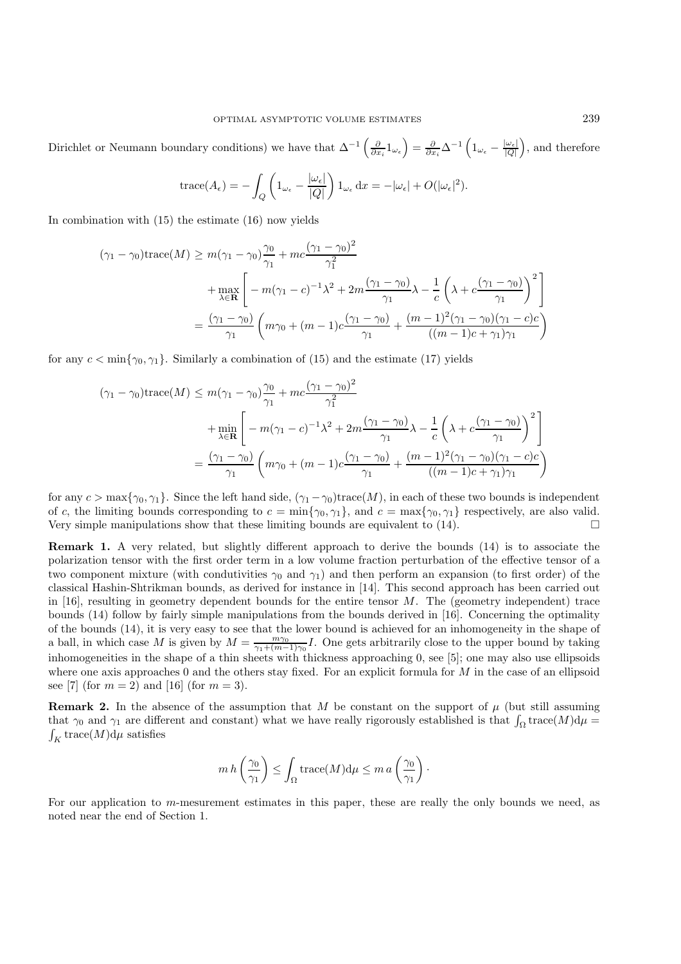Dirichlet or Neumann boundary conditions) we have that  $\Delta^{-1}\left(\frac{\partial}{\partial x_i}\mathbb{1}_{\omega_\epsilon}\right) = \frac{\partial}{\partial x_i}\Delta^{-1}\left(\mathbb{1}_{\omega_\epsilon} - \frac{|\omega_\epsilon|}{|Q|}\right)$ , and therefore

trace
$$
(A_{\epsilon}) = -\int_{Q} \left(1_{\omega_{\epsilon}} - \frac{|\omega_{\epsilon}|}{|Q|}\right) 1_{\omega_{\epsilon}} dx = -|\omega_{\epsilon}| + O(|\omega_{\epsilon}|^{2}).
$$

In combination with (15) the estimate (16) now yields

$$
(\gamma_1 - \gamma_0) \text{trace}(M) \ge m(\gamma_1 - \gamma_0) \frac{\gamma_0}{\gamma_1} + mc \frac{(\gamma_1 - \gamma_0)^2}{\gamma_1^2}
$$
  
+ 
$$
\max_{\lambda \in \mathbf{R}} \left[ -m(\gamma_1 - c)^{-1} \lambda^2 + 2m \frac{(\gamma_1 - \gamma_0)}{\gamma_1} \lambda - \frac{1}{c} \left( \lambda + c \frac{(\gamma_1 - \gamma_0)}{\gamma_1} \right)^2 \right]
$$
  
= 
$$
\frac{(\gamma_1 - \gamma_0)}{\gamma_1} \left( m\gamma_0 + (m - 1)c \frac{(\gamma_1 - \gamma_0)}{\gamma_1} + \frac{(m - 1)^2 (\gamma_1 - \gamma_0)(\gamma_1 - c)c}{((m - 1)c + \gamma_1)\gamma_1} \right)
$$

for any  $c < \min\{\gamma_0, \gamma_1\}$ . Similarly a combination of (15) and the estimate (17) yields

$$
(\gamma_1 - \gamma_0) \text{trace}(M) \le m(\gamma_1 - \gamma_0) \frac{\gamma_0}{\gamma_1} + mc \frac{(\gamma_1 - \gamma_0)^2}{\gamma_1^2} + \min_{\lambda \in \mathbf{R}} \left[ -m(\gamma_1 - c)^{-1} \lambda^2 + 2m \frac{(\gamma_1 - \gamma_0)}{\gamma_1} \lambda - \frac{1}{c} \left( \lambda + c \frac{(\gamma_1 - \gamma_0)}{\gamma_1} \right)^2 \right] = \frac{(\gamma_1 - \gamma_0)}{\gamma_1} \left( m\gamma_0 + (m - 1)c \frac{(\gamma_1 - \gamma_0)}{\gamma_1} + \frac{(m - 1)^2(\gamma_1 - \gamma_0)(\gamma_1 - c)c}{((m - 1)c + \gamma_1)\gamma_1} \right)
$$

for any  $c > \max{\gamma_0, \gamma_1}$ . Since the left hand side,  $(\gamma_1 - \gamma_0)$ trace(M), in each of these two bounds is independent of c, the limiting bounds corresponding to  $c = \min{\gamma_0, \gamma_1}$ , and  $c = \max{\gamma_0, \gamma_1}$  respectively, are also valid. Very simple manipulations show that these limiting bounds are equivalent to  $(14)$ .

**Remark 1.** A very related, but slightly different approach to derive the bounds (14) is to associate the polarization tensor with the first order term in a low volume fraction perturbation of the effective tensor of a two component mixture (with condutivities  $\gamma_0$  and  $\gamma_1$ ) and then perform an expansion (to first order) of the classical Hashin-Shtrikman bounds, as derived for instance in [14]. This second approach has been carried out in  $[16]$ , resulting in geometry dependent bounds for the entire tensor M. The (geometry independent) trace bounds (14) follow by fairly simple manipulations from the bounds derived in [16]. Concerning the optimality of the bounds (14), it is very easy to see that the lower bound is achieved for an inhomogeneity in the shape of a ball, in which case M is given by  $M = \frac{m\gamma_0}{\gamma_1 + (m-1)\gamma_0}I$ . One gets arbitrarily close to the upper bound by taking inhomogeneities in the shape of a thin sheets with thickness approaching 0, see [5]; one may also use ellipsoids where one axis approaches 0 and the others stay fixed. For an explicit formula for  $M$  in the case of an ellipsoid see [7] (for  $m = 2$ ) and [16] (for  $m = 3$ ).

**Remark 2.** In the absence of the assumption that M be constant on the support of  $\mu$  (but still assuming that  $\gamma_0$  and  $\gamma_1$  are different and constant) what we have really rigorously established is that  $\int_{\Omega} \text{trace}(M) d\mu = \int_{K} \text{trace}(M) d\mu$  satisfies  $\int_K$  trace $(M)$ d $\mu$  satisfies

$$
m h\left(\frac{\gamma_0}{\gamma_1}\right) \leq \int_{\Omega} \operatorname{trace}(M) d\mu \leq m a\left(\frac{\gamma_0}{\gamma_1}\right).
$$

For our application to m-mesurement estimates in this paper, these are really the only bounds we need, as noted near the end of Section 1.